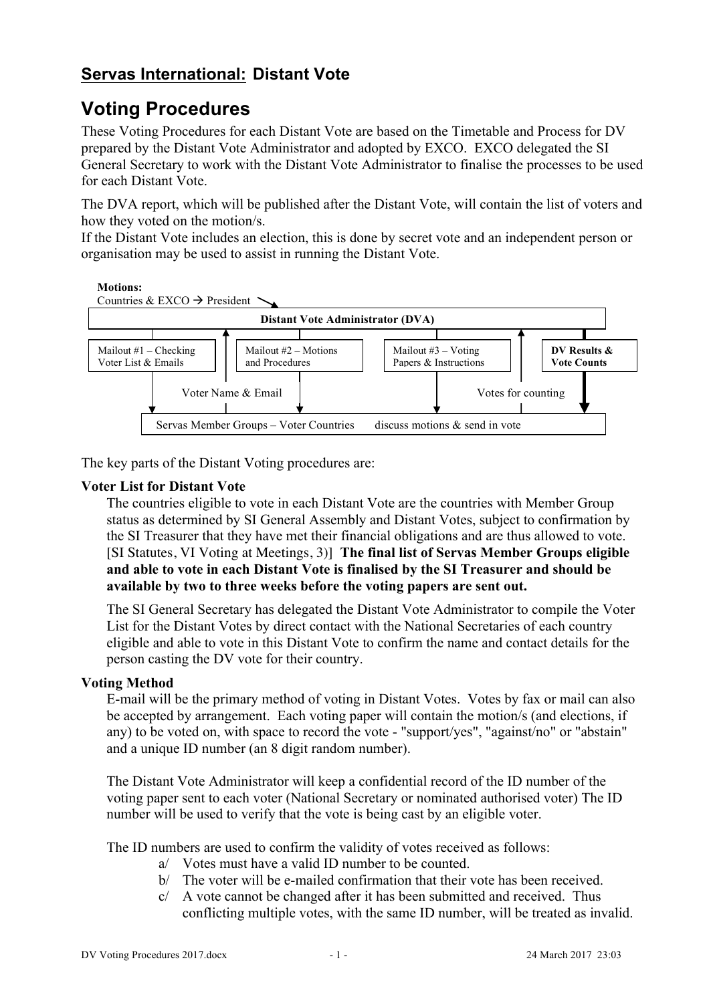## **Servas International: Distant Vote**

# **Voting Procedures**

These Voting Procedures for each Distant Vote are based on the Timetable and Process for DV prepared by the Distant Vote Administrator and adopted by EXCO. EXCO delegated the SI General Secretary to work with the Distant Vote Administrator to finalise the processes to be used for each Distant Vote.

The DVA report, which will be published after the Distant Vote, will contain the list of voters and how they voted on the motion/s.

If the Distant Vote includes an election, this is done by secret vote and an independent person or organisation may be used to assist in running the Distant Vote.



The key parts of the Distant Voting procedures are:

#### **Voter List for Distant Vote**

The countries eligible to vote in each Distant Vote are the countries with Member Group status as determined by SI General Assembly and Distant Votes, subject to confirmation by  $\frac{1}{2}$ the SI Treasurer that they have met their financial obligations and are thus allowed to vote. [SI Statutes, VI Voting at Meetings, 3)] **The final list of Servas Member Groups eligible**  and able to vote in each Distant Vote is finalised by the SI Treasurer and should be available by two to three weeks before the voting papers are sent out. and able to vote in  $M_{\rm{2}} = 2.1$ istant vote mailout #3 – Votarius + Votarius + Votarius + Votarius + Votarius + Votarius + Vo<br>United + Votarius + Votarius + Votarius + Votarius + Votarius + Votarius + Votarius + Votarius + Votarius + Vo dy the 51-1 **DV Resultation SHOUIG** L

The SI General Secretary has delegated the Distant Vote Administrator to compile the Voter List for the Distant Votes by direct contact with the National Secretaries of each country eligible and able to vote in this Distant Vote to confirm the name and contact details for the person casting the DV vote for their country.

#### **Voting Method**

E-mail will be the primary method of voting in Distant Votes. Votes by fax or mail can also be accepted by arrangement. Each voting paper will contain the motion/s (and elections, if any) to be voted on, with space to record the vote - "support/yes", "against/no" or "abstain" and a unique ID number (an 8 digit random number).

The Distant Vote Administrator will keep a confidential record of the ID number of the voting paper sent to each voter (National Secretary or nominated authorised voter) The ID number will be used to verify that the vote is being cast by an eligible voter.

The ID numbers are used to confirm the validity of votes received as follows:

- a/ Votes must have a valid ID number to be counted.
- b/ The voter will be e-mailed confirmation that their vote has been received.
- $c$  A vote cannot be changed after it has been submitted and received. Thus conflicting multiple votes, with the same ID number, will be treated as invalid.